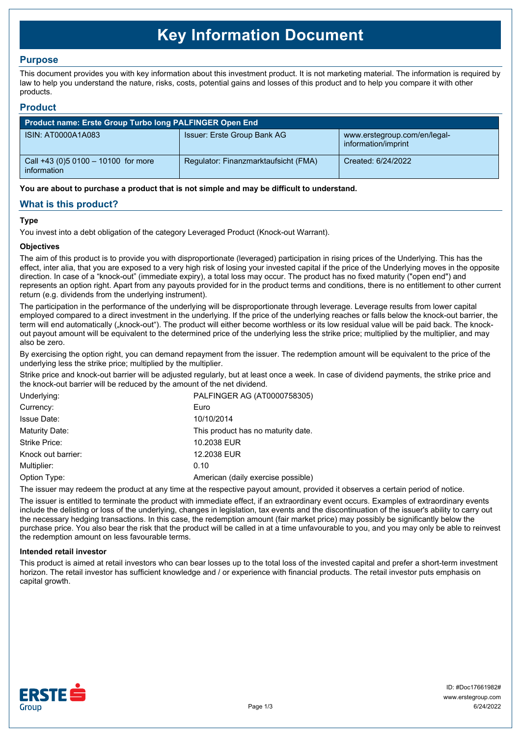# **Key Information Document**

## **Purpose**

This document provides you with key information about this investment product. It is not marketing material. The information is required by law to help you understand the nature, risks, costs, potential gains and losses of this product and to help you compare it with other products.

## **Product**

| <b>Product name: Erste Group Turbo long PALFINGER Open End</b> |                                      |                                                     |  |  |
|----------------------------------------------------------------|--------------------------------------|-----------------------------------------------------|--|--|
| ISIN: AT0000A1A083                                             | Issuer: Erste Group Bank AG          | www.erstegroup.com/en/legal-<br>information/imprint |  |  |
| Call +43 (0) 5 0100 - 10100 for more<br>information            | Regulator: Finanzmarktaufsicht (FMA) | Created: 6/24/2022                                  |  |  |

**You are about to purchase a product that is not simple and may be difficult to understand.**

## **What is this product?**

### **Type**

You invest into a debt obligation of the category Leveraged Product (Knock-out Warrant).

#### **Objectives**

The aim of this product is to provide you with disproportionate (leveraged) participation in rising prices of the Underlying. This has the effect, inter alia, that you are exposed to a very high risk of losing your invested capital if the price of the Underlying moves in the opposite direction. In case of a "knock-out" (immediate expiry), a total loss may occur. The product has no fixed maturity ("open end") and represents an option right. Apart from any payouts provided for in the product terms and conditions, there is no entitlement to other current return (e.g. dividends from the underlying instrument).

The participation in the performance of the underlying will be disproportionate through leverage. Leverage results from lower capital employed compared to a direct investment in the underlying. If the price of the underlying reaches or falls below the knock-out barrier, the term will end automatically ("knock-out"). The product will either become worthless or its low residual value will be paid back. The knockout payout amount will be equivalent to the determined price of the underlying less the strike price; multiplied by the multiplier, and may also be zero.

By exercising the option right, you can demand repayment from the issuer. The redemption amount will be equivalent to the price of the underlying less the strike price; multiplied by the multiplier.

Strike price and knock-out barrier will be adjusted regularly, but at least once a week. In case of dividend payments, the strike price and the knock-out barrier will be reduced by the amount of the net dividend.

| Underlying:        | PALFINGER AG (AT0000758305)        |
|--------------------|------------------------------------|
| Currency:          | Euro                               |
| <b>Issue Date:</b> | 10/10/2014                         |
| Maturity Date:     | This product has no maturity date. |
| Strike Price:      | 10.2038 EUR                        |
| Knock out barrier: | 12,2038 EUR                        |
| Multiplier:        | 0.10                               |
| Option Type:       | American (daily exercise possible) |
|                    |                                    |

The issuer may redeem the product at any time at the respective payout amount, provided it observes a certain period of notice.

The issuer is entitled to terminate the product with immediate effect, if an extraordinary event occurs. Examples of extraordinary events include the delisting or loss of the underlying, changes in legislation, tax events and the discontinuation of the issuer's ability to carry out the necessary hedging transactions. In this case, the redemption amount (fair market price) may possibly be significantly below the purchase price. You also bear the risk that the product will be called in at a time unfavourable to you, and you may only be able to reinvest the redemption amount on less favourable terms.

#### **Intended retail investor**

This product is aimed at retail investors who can bear losses up to the total loss of the invested capital and prefer a short-term investment horizon. The retail investor has sufficient knowledge and / or experience with financial products. The retail investor puts emphasis on capital growth.

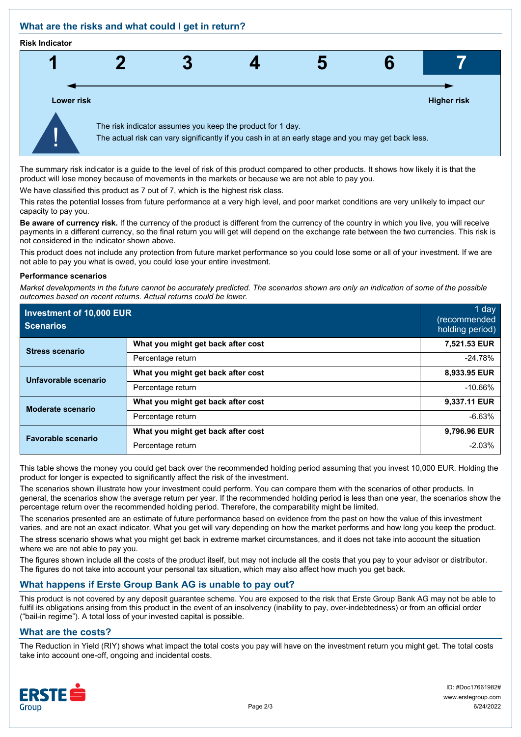## **What are the risks and what could I get in return?**

#### **Risk Indicator**



The summary risk indicator is a guide to the level of risk of this product compared to other products. It shows how likely it is that the product will lose money because of movements in the markets or because we are not able to pay you.

We have classified this product as 7 out of 7, which is the highest risk class.

This rates the potential losses from future performance at a very high level, and poor market conditions are very unlikely to impact our capacity to pay you.

**Be aware of currency risk.** If the currency of the product is different from the currency of the country in which you live, you will receive payments in a different currency, so the final return you will get will depend on the exchange rate between the two currencies. This risk is not considered in the indicator shown above.

This product does not include any protection from future market performance so you could lose some or all of your investment. If we are not able to pay you what is owed, you could lose your entire investment.

#### **Performance scenarios**

*Market developments in the future cannot be accurately predicted. The scenarios shown are only an indication of some of the possible outcomes based on recent returns. Actual returns could be lower.*

| Investment of 10,000 EUR<br><b>Scenarios</b> |                                    | 1 day<br>(recommended<br>holding period) |
|----------------------------------------------|------------------------------------|------------------------------------------|
| <b>Stress scenario</b>                       | What you might get back after cost | 7,521.53 EUR                             |
|                                              | Percentage return                  | $-24.78%$                                |
| Unfavorable scenario                         | What you might get back after cost | 8,933.95 EUR                             |
|                                              | Percentage return                  | $-10.66%$                                |
| <b>Moderate scenario</b>                     | What you might get back after cost | 9,337.11 EUR                             |
|                                              | Percentage return                  | $-6.63%$                                 |
| <b>Favorable scenario</b>                    | What you might get back after cost | 9,796.96 EUR                             |
|                                              | Percentage return                  | $-2.03%$                                 |

This table shows the money you could get back over the recommended holding period assuming that you invest 10,000 EUR. Holding the product for longer is expected to significantly affect the risk of the investment.

The scenarios shown illustrate how your investment could perform. You can compare them with the scenarios of other products. In general, the scenarios show the average return per year. If the recommended holding period is less than one year, the scenarios show the percentage return over the recommended holding period. Therefore, the comparability might be limited.

The scenarios presented are an estimate of future performance based on evidence from the past on how the value of this investment varies, and are not an exact indicator. What you get will vary depending on how the market performs and how long you keep the product.

The stress scenario shows what you might get back in extreme market circumstances, and it does not take into account the situation where we are not able to pay you.

The figures shown include all the costs of the product itself, but may not include all the costs that you pay to your advisor or distributor. The figures do not take into account your personal tax situation, which may also affect how much you get back.

## **What happens if Erste Group Bank AG is unable to pay out?**

This product is not covered by any deposit guarantee scheme. You are exposed to the risk that Erste Group Bank AG may not be able to fulfil its obligations arising from this product in the event of an insolvency (inability to pay, over-indebtedness) or from an official order ("bail-in regime"). A total loss of your invested capital is possible.

## **What are the costs?**

The Reduction in Yield (RIY) shows what impact the total costs you pay will have on the investment return you might get. The total costs take into account one-off, ongoing and incidental costs.